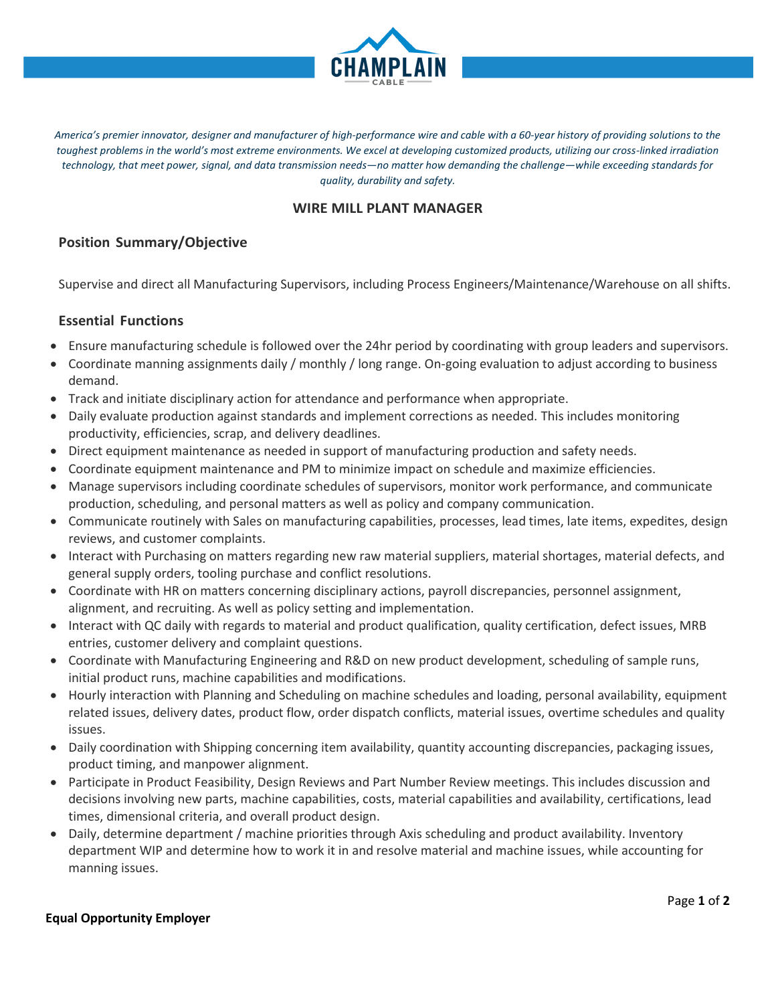

America's premier innovator, designer and manufacturer of high-performance wire and cable with a 60-year history of providing solutions to the *toughest problems in the world's most extreme environments. We excel at developing customized products, utilizing our cross-linked irradiation technology, that meet power, signal, and data transmission needs—no matter how demanding the challenge—while exceeding standards for quality, durability and safety.*

# **WIRE MILL PLANT MANAGER**

# **Position Summary/Objective**

Supervise and direct all Manufacturing Supervisors, including Process Engineers/Maintenance/Warehouse on all shifts.

## **Essential Functions**

- Ensure manufacturing schedule is followed over the 24hr period by coordinating with group leaders and supervisors.
- Coordinate manning assignments daily / monthly / long range. On-going evaluation to adjust according to business demand.
- Track and initiate disciplinary action for attendance and performance when appropriate.
- Daily evaluate production against standards and implement corrections as needed. This includes monitoring productivity, efficiencies, scrap, and delivery deadlines.
- Direct equipment maintenance as needed in support of manufacturing production and safety needs.
- Coordinate equipment maintenance and PM to minimize impact on schedule and maximize efficiencies.
- Manage supervisors including coordinate schedules of supervisors, monitor work performance, and communicate production, scheduling, and personal matters as well as policy and company communication.
- Communicate routinely with Sales on manufacturing capabilities, processes, lead times, late items, expedites, design reviews, and customer complaints.
- Interact with Purchasing on matters regarding new raw material suppliers, material shortages, material defects, and general supply orders, tooling purchase and conflict resolutions.
- Coordinate with HR on matters concerning disciplinary actions, payroll discrepancies, personnel assignment, alignment, and recruiting. As well as policy setting and implementation.
- Interact with QC daily with regards to material and product qualification, quality certification, defect issues, MRB entries, customer delivery and complaint questions.
- Coordinate with Manufacturing Engineering and R&D on new product development, scheduling of sample runs, initial product runs, machine capabilities and modifications.
- Hourly interaction with Planning and Scheduling on machine schedules and loading, personal availability, equipment related issues, delivery dates, product flow, order dispatch conflicts, material issues, overtime schedules and quality issues.
- Daily coordination with Shipping concerning item availability, quantity accounting discrepancies, packaging issues, product timing, and manpower alignment.
- Participate in Product Feasibility, Design Reviews and Part Number Review meetings. This includes discussion and decisions involving new parts, machine capabilities, costs, material capabilities and availability, certifications, lead times, dimensional criteria, and overall product design.
- Daily, determine department / machine priorities through Axis scheduling and product availability. Inventory department WIP and determine how to work it in and resolve material and machine issues, while accounting for manning issues.

## **Equal Opportunity Employer**